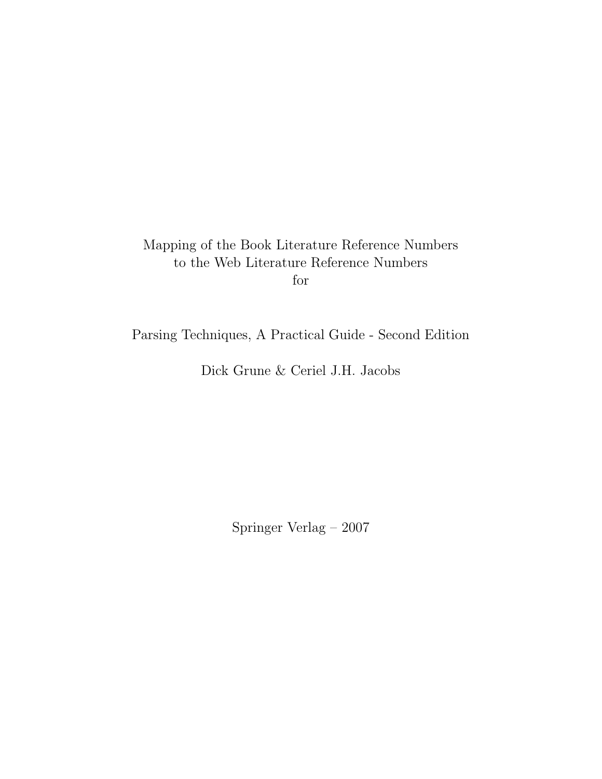## Mapping of the Book Literature Reference Numbers to the Web Literature Reference Numbers for

Parsing Techniques, A Practical Guide - Second Edition

Dick Grune & Ceriel J.H. Jacobs

Springer Verlag – 2007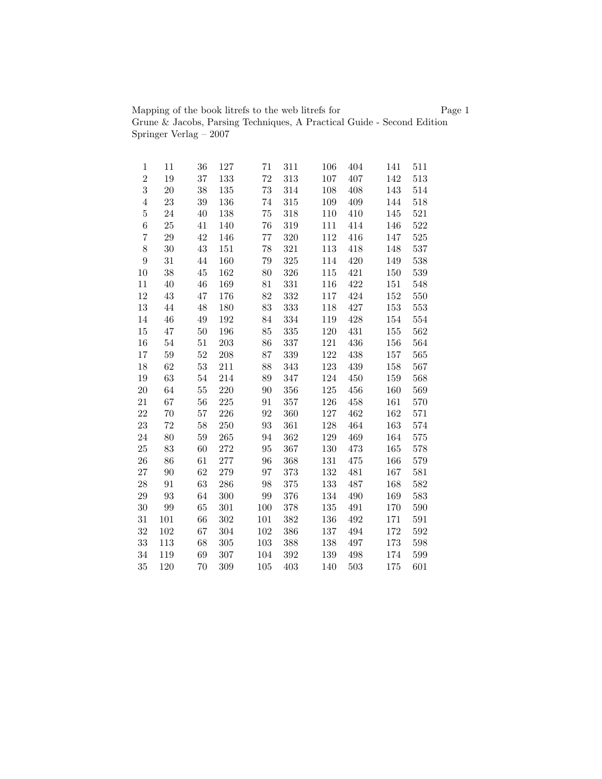Mapping of the book litrefs to the web litrefs for Page 1 Grune & Jacobs, Parsing Techniques, A Practical Guide - Second Edition Springer Verlag – 2007

| 1              | 11  | 36     | 127     | 71  | 311     | 106     | 404 | 141 | 511 |
|----------------|-----|--------|---------|-----|---------|---------|-----|-----|-----|
| $\overline{2}$ | 19  | 37     | 133     | 72  | 313     | 107     | 407 | 142 | 513 |
| $\overline{3}$ | 20  | 38     | 135     | 73  | 314     | 108     | 408 | 143 | 514 |
| $\,4\,$        | 23  | 39     | 136     | 74  | 315     | 109     | 409 | 144 | 518 |
| $\overline{5}$ | 24  | 40     | 138     | 75  | 318     | 110     | 410 | 145 | 521 |
| $\,6$          | 25  | 41     | 140     | 76  | 319     | 111     | 414 | 146 | 522 |
| $\overline{7}$ | 29  | 42     | 146     | 77  | 320     | 112     | 416 | 147 | 525 |
| $8\,$          | 30  | 43     | 151     | 78  | 321     | 113     | 418 | 148 | 537 |
| $\overline{9}$ | 31  | 44     | 160     | 79  | 325     | 114     | 420 | 149 | 538 |
| 10             | 38  | 45     | 162     | 80  | 326     | 115     | 421 | 150 | 539 |
| 11             | 40  | 46     | 169     | 81  | 331     | 116     | 422 | 151 | 548 |
| 12             | 43  | 47     | 176     | 82  | 332     | 117     | 424 | 152 | 550 |
| $13\,$         | 44  | 48     | 180     | 83  | 333     | 118     | 427 | 153 | 553 |
| 14             | 46  | 49     | 192     | 84  | 334     | 119     | 428 | 154 | 554 |
| $15\,$         | 47  | 50     | 196     | 85  | 335     | 120     | 431 | 155 | 562 |
| 16             | 54  | 51     | 203     | 86  | 337     | 121     | 436 | 156 | 564 |
| 17             | 59  | $52\,$ | 208     | 87  | 339     | $122\,$ | 438 | 157 | 565 |
| 18             | 62  | 53     | 211     | 88  | 343     | 123     | 439 | 158 | 567 |
| 19             | 63  | 54     | 214     | 89  | 347     | 124     | 450 | 159 | 568 |
| 20             | 64  | 55     | 220     | 90  | 356     | 125     | 456 | 160 | 569 |
| 21             | 67  | 56     | 225     | 91  | 357     | 126     | 458 | 161 | 570 |
| 22             | 70  | 57     | 226     | 92  | 360     | 127     | 462 | 162 | 571 |
| 23             | 72  | 58     | 250     | 93  | 361     | 128     | 464 | 163 | 574 |
| 24             | 80  | 59     | 265     | 94  | 362     | 129     | 469 | 164 | 575 |
| 25             | 83  | 60     | 272     | 95  | 367     | 130     | 473 | 165 | 578 |
| 26             | 86  | 61     | 277     | 96  | 368     | 131     | 475 | 166 | 579 |
| 27             | 90  | 62     | 279     | 97  | 373     | 132     | 481 | 167 | 581 |
| 28             | 91  | 63     | 286     | 98  | 375     | 133     | 487 | 168 | 582 |
| $\,29$         | 93  | 64     | $300\,$ | 99  | $376\,$ | 134     | 490 | 169 | 583 |
| 30             | 99  | 65     | 301     | 100 | 378     | 135     | 491 | 170 | 590 |
| 31             | 101 | 66     | 302     | 101 | 382     | 136     | 492 | 171 | 591 |
| 32             | 102 | 67     | 304     | 102 | 386     | 137     | 494 | 172 | 592 |
| 33             | 113 | 68     | 305     | 103 | 388     | 138     | 497 | 173 | 598 |
| 34             | 119 | 69     | 307     | 104 | $392\,$ | 139     | 498 | 174 | 599 |
| 35             | 120 | 70     | 309     | 105 | 403     | 140     | 503 | 175 | 601 |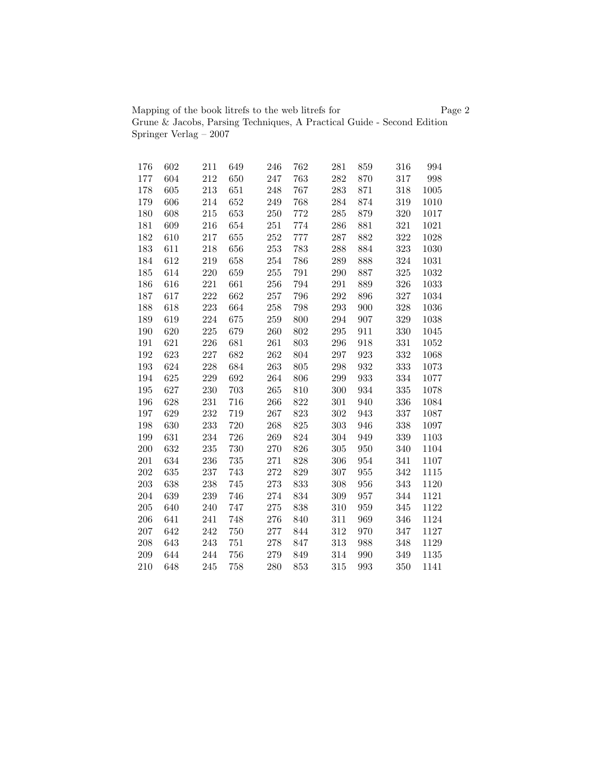Mapping of the book litrefs to the web litrefs for Page 2 Grune & Jacobs, Parsing Techniques, A Practical Guide - Second Edition Springer Verlag – 2007

| 176     | 602 | 211 | 649 | 246 | 762 | 281 | 859 | 316 | 994  |
|---------|-----|-----|-----|-----|-----|-----|-----|-----|------|
| 177     | 604 | 212 | 650 | 247 | 763 | 282 | 870 | 317 | 998  |
| 178     | 605 | 213 | 651 | 248 | 767 | 283 | 871 | 318 | 1005 |
| 179     | 606 | 214 | 652 | 249 | 768 | 284 | 874 | 319 | 1010 |
| 180     | 608 | 215 | 653 | 250 | 772 | 285 | 879 | 320 | 1017 |
| 181     | 609 | 216 | 654 | 251 | 774 | 286 | 881 | 321 | 1021 |
| 182     | 610 | 217 | 655 | 252 | 777 | 287 | 882 | 322 | 1028 |
| 183     | 611 | 218 | 656 | 253 | 783 | 288 | 884 | 323 | 1030 |
| 184     | 612 | 219 | 658 | 254 | 786 | 289 | 888 | 324 | 1031 |
| 185     | 614 | 220 | 659 | 255 | 791 | 290 | 887 | 325 | 1032 |
| 186     | 616 | 221 | 661 | 256 | 794 | 291 | 889 | 326 | 1033 |
| 187     | 617 | 222 | 662 | 257 | 796 | 292 | 896 | 327 | 1034 |
| 188     | 618 | 223 | 664 | 258 | 798 | 293 | 900 | 328 | 1036 |
| 189     | 619 | 224 | 675 | 259 | 800 | 294 | 907 | 329 | 1038 |
| 190     | 620 | 225 | 679 | 260 | 802 | 295 | 911 | 330 | 1045 |
| 191     | 621 | 226 | 681 | 261 | 803 | 296 | 918 | 331 | 1052 |
| 192     | 623 | 227 | 682 | 262 | 804 | 297 | 923 | 332 | 1068 |
| 193     | 624 | 228 | 684 | 263 | 805 | 298 | 932 | 333 | 1073 |
| 194     | 625 | 229 | 692 | 264 | 806 | 299 | 933 | 334 | 1077 |
| 195     | 627 | 230 | 703 | 265 | 810 | 300 | 934 | 335 | 1078 |
| 196     | 628 | 231 | 716 | 266 | 822 | 301 | 940 | 336 | 1084 |
| 197     | 629 | 232 | 719 | 267 | 823 | 302 | 943 | 337 | 1087 |
| 198     | 630 | 233 | 720 | 268 | 825 | 303 | 946 | 338 | 1097 |
| 199     | 631 | 234 | 726 | 269 | 824 | 304 | 949 | 339 | 1103 |
| 200     | 632 | 235 | 730 | 270 | 826 | 305 | 950 | 340 | 1104 |
| $201\,$ | 634 | 236 | 735 | 271 | 828 | 306 | 954 | 341 | 1107 |
| 202     | 635 | 237 | 743 | 272 | 829 | 307 | 955 | 342 | 1115 |
| 203     | 638 | 238 | 745 | 273 | 833 | 308 | 956 | 343 | 1120 |
| 204     | 639 | 239 | 746 | 274 | 834 | 309 | 957 | 344 | 1121 |
| 205     | 640 | 240 | 747 | 275 | 838 | 310 | 959 | 345 | 1122 |
| 206     | 641 | 241 | 748 | 276 | 840 | 311 | 969 | 346 | 1124 |
| 207     | 642 | 242 | 750 | 277 | 844 | 312 | 970 | 347 | 1127 |
| 208     | 643 | 243 | 751 | 278 | 847 | 313 | 988 | 348 | 1129 |
| 209     | 644 | 244 | 756 | 279 | 849 | 314 | 990 | 349 | 1135 |
| 210     | 648 | 245 | 758 | 280 | 853 | 315 | 993 | 350 | 1141 |